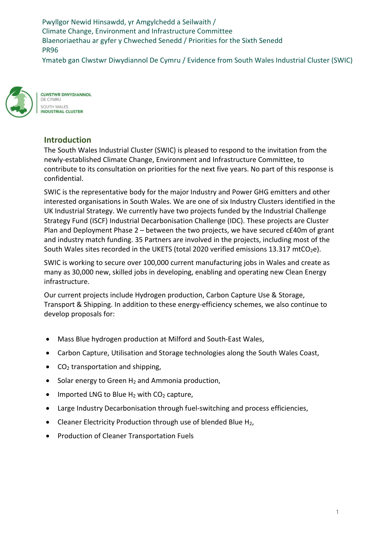Pwyllgor Newid Hinsawdd, yr Amgylchedd a Seilwaith / Climate Change, Environment and Infrastructure Committee Blaenoriaethau ar gyfer y Chweched Senedd / Priorities for the Sixth Senedd PR96

Ymateb gan Clwstwr Diwydiannol De Cymru / Evidence from South Wales Industrial Cluster (SWIC)



**CLWSTWR DIWYDIANNOL** DE CYMRU SOUTH WALES **INDUSTRIAL CLUSTER** 

### **Introduction**

The South Wales Industrial Cluster (SWIC) is pleased to respond to the invitation from the newly-established Climate Change, Environment and Infrastructure Committee, to contribute to its consultation on priorities for the next five years. No part of this response is confidential.

SWIC is the representative body for the major Industry and Power GHG emitters and other interested organisations in South Wales. We are one of six Industry Clusters identified in the UK Industrial Strategy. We currently have two projects funded by the Industrial Challenge Strategy Fund (ISCF) Industrial Decarbonisation Challenge (IDC). These projects are Cluster Plan and Deployment Phase 2 – between the two projects, we have secured c£40m of grant and industry match funding. 35 Partners are involved in the projects, including most of the South Wales sites recorded in the UKETS (total 2020 verified emissions 13.317 mtCO<sub>2</sub>e).

SWIC is working to secure over 100,000 current manufacturing jobs in Wales and create as many as 30,000 new, skilled jobs in developing, enabling and operating new Clean Energy infrastructure.

Our current projects include Hydrogen production, Carbon Capture Use & Storage, Transport & Shipping. In addition to these energy-efficiency schemes, we also continue to develop proposals for:

- Mass Blue hydrogen production at Milford and South-East Wales,
- Carbon Capture, Utilisation and Storage technologies along the South Wales Coast,
- $\bullet$  CO<sub>2</sub> transportation and shipping,
- $\bullet$  Solar energy to Green H<sub>2</sub> and Ammonia production,
- Imported LNG to Blue  $H_2$  with  $CO_2$  capture,
- Large Industry Decarbonisation through fuel-switching and process efficiencies,
- Cleaner Electricity Production through use of blended Blue H<sub>2</sub>,
- Production of Cleaner Transportation Fuels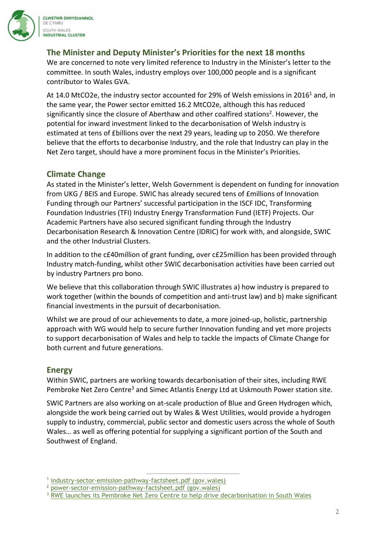

**CLWSTWR DIWYDIANNOL** DE CYMRU SOUTH WALES **INDUSTRIAL CLUSTER** 

# The Minister and Deputy Minister's Priorities for the next 18 months

We are concerned to note very limited reference to Industry in the Minister's letter to the committee. In south Wales, industry employs over 100,000 people and is a significant contributor to Wales GVA.

At 14.0 MtCO2e, the industry sector accounted for 29% of Welsh emissions in 2016<sup>1</sup> and, in the same year, the Power sector emitted 16.2 MtCO2e, although this has reduced significantly since the closure of Aberthaw and other coalfired stations<sup>2</sup>. However, the potential for inward investment linked to the decarbonisation of Welsh industry is estimated at tens of £billions over the next 29 years, leading up to 2050. We therefore believe that the efforts to decarbonise Industry, and the role that Industry can play in the Net Zero target, should have a more prominent focus in the Minister's Priorities.

### Climate Change

As stated in the Minister's letter, Welsh Government is dependent on funding for innovation from UKG / BEIS and Europe. SWIC has already secured tens of £millions of Innovation Funding through our Partners' successful participation in the ISCF IDC, Transforming Foundation Industries (TFI) Industry Energy Transformation Fund (IETF) Projects. Our Academic Partners have also secured significant funding through the Industry Decarbonisation Research & Innovation Centre (IDRIC) for work with, and alongside, SWIC and the other Industrial Clusters.

In addition to the c£40million of grant funding, over c£25million has been provided through Industry match-funding, whilst other SWIC decarbonisation activities have been carried out by industry Partners pro bono.

We believe that this collaboration through SWIC illustrates a) how industry is prepared to work together (within the bounds of competition and anti-trust law) and b) make significant financial investments in the pursuit of decarbonisation.

Whilst we are proud of our achievements to date, a more joined-up, holistic, partnership approach with WG would help to secure further Innovation funding and yet more projects to support decarbonisation of Wales and help to tackle the impacts of Climate Change for both current and future generations.

#### Energy

Within SWIC, partners are working towards decarbonisation of their sites, including RWE Pembroke Net Zero Centre<sup>3</sup> and Simec Atlantis Energy Ltd at Uskmouth Power station site.

SWIC Partners are also working on at-scale production of Blue and Green Hydrogen which, alongside the work being carried out by Wales & West Utilities, would provide a hydrogen supply to industry, commercial, public sector and domestic users across the whole of South Wales… as well as offering potential for supplying a significant portion of the South and Southwest of England.

<sup>&</sup>lt;sup>1</sup> industry-sector-emission-pathway-factsheet.pdf (gov.wales)

<sup>&</sup>lt;sup>2</sup> power-sector-emission-pathway-factsheet.pdf (gov.wales)

<sup>&</sup>lt;sup>3</sup> RWE launches its Pembroke Net Zero Centre to help drive decarbonisation in South Wales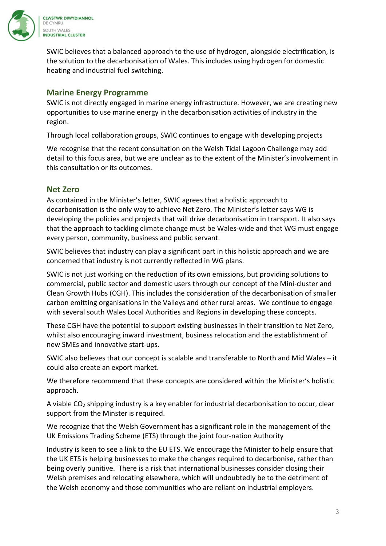

SWIC believes that a balanced approach to the use of hydrogen, alongside electrification, is the solution to the decarbonisation of Wales. This includes using hydrogen for domestic heating and industrial fuel switching.

# Marine Energy Programme

SWIC is not directly engaged in marine energy infrastructure. However, we are creating new opportunities to use marine energy in the decarbonisation activities of industry in the region.

Through local collaboration groups, SWIC continues to engage with developing projects

We recognise that the recent consultation on the Welsh Tidal Lagoon Challenge may add detail to this focus area, but we are unclear as to the extent of the Minister's involvement in this consultation or its outcomes.

#### Net Zero

As contained in the Minister's letter, SWIC agrees that a holistic approach to decarbonisation is the only way to achieve Net Zero. The Minister's letter says WG is developing the policies and projects that will drive decarbonisation in transport. It also says that the approach to tackling climate change must be Wales-wide and that WG must engage every person, community, business and public servant.

SWIC believes that industry can play a significant part in this holistic approach and we are concerned that industry is not currently reflected in WG plans.

SWIC is not just working on the reduction of its own emissions, but providing solutions to commercial, public sector and domestic users through our concept of the Mini-cluster and Clean Growth Hubs (CGH). This includes the consideration of the decarbonisation of smaller carbon emitting organisations in the Valleys and other rural areas. We continue to engage with several south Wales Local Authorities and Regions in developing these concepts.

These CGH have the potential to support existing businesses in their transition to Net Zero, whilst also encouraging inward investment, business relocation and the establishment of new SMEs and innovative start-ups.

SWIC also believes that our concept is scalable and transferable to North and Mid Wales – it could also create an export market.

We therefore recommend that these concepts are considered within the Minister's holistic approach.

A viable  $CO<sub>2</sub>$  shipping industry is a key enabler for industrial decarbonisation to occur, clear support from the Minster is required.

We recognize that the Welsh Government has a significant role in the management of the UK Emissions Trading Scheme (ETS) through the joint four-nation Authority

Industry is keen to see a link to the EU ETS. We encourage the Minister to help ensure that the UK ETS is helping businesses to make the changes required to decarbonise, rather than being overly punitive. There is a risk that international businesses consider closing their Welsh premises and relocating elsewhere, which will undoubtedly be to the detriment of the Welsh economy and those communities who are reliant on industrial employers.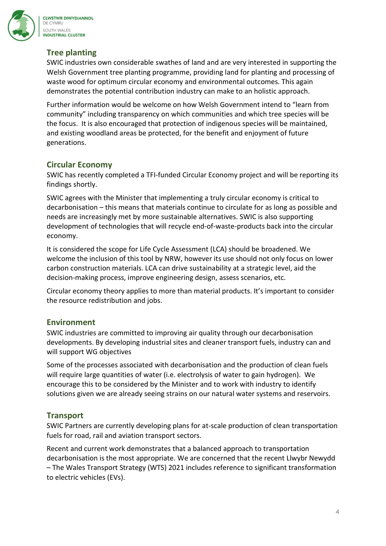

# Tree planting

SWIC industries own considerable swathes of land and are very interested in supporting the Welsh Government tree planting programme, providing land for planting and processing of waste wood for optimum circular economy and environmental outcomes. This again demonstrates the potential contribution industry can make to an holistic approach.

Further information would be welcome on how Welsh Government intend to "learn from community" including transparency on which communities and which tree species will be the focus. It is also encouraged that protection of indigenous species will be maintained, and existing woodland areas be protected, for the benefit and enjoyment of future generations.

#### Circular Economy

SWIC has recently completed a TFI-funded Circular Economy project and will be reporting its findings shortly.

SWIC agrees with the Minister that implementing a truly circular economy is critical to decarbonisation – this means that materials continue to circulate for as long as possible and needs are increasingly met by more sustainable alternatives. SWIC is also supporting development of technologies that will recycle end-of-waste-products back into the circular economy.

It is considered the scope for Life Cycle Assessment (LCA) should be broadened. We welcome the inclusion of this tool by NRW, however its use should not only focus on lower carbon construction materials. LCA can drive sustainability at a strategic level, aid the decision-making process, improve engineering design, assess scenarios, etc.

Circular economy theory applies to more than material products. It's important to consider the resource redistribution and jobs.

#### Environment

SWIC industries are committed to improving air quality through our decarbonisation developments. By developing industrial sites and cleaner transport fuels, industry can and will support WG objectives

Some of the processes associated with decarbonisation and the production of clean fuels will require large quantities of water (i.e. electrolysis of water to gain hydrogen). We encourage this to be considered by the Minister and to work with industry to identify solutions given we are already seeing strains on our natural water systems and reservoirs.

# **Transport**

SWIC Partners are currently developing plans for at-scale production of clean transportation fuels for road, rail and aviation transport sectors.

Recent and current work demonstrates that a balanced approach to transportation decarbonisation is the most appropriate. We are concerned that the recent Llwybr Newydd – The Wales Transport Strategy (WTS) 2021 includes reference to significant transformation to electric vehicles (EVs).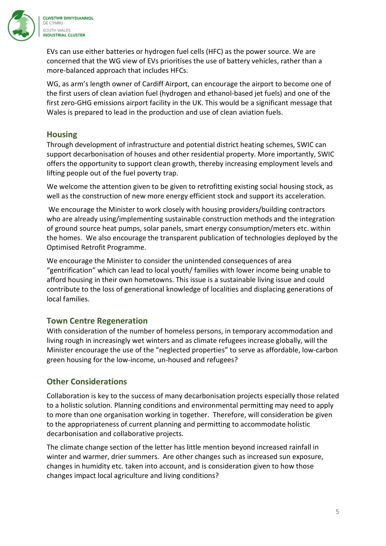

EVs can use either batteries or hydrogen fuel cells (HFC) as the power source. We are concerned that the WG view of EVs prioritises the use of battery vehicles, rather than a more-balanced approach that includes HFCs.

WG, as arm's length owner of Cardiff Airport, can encourage the airport to become one of the first users of clean aviation fuel (hydrogen and ethanol-based jet fuels) and one of the first zero-GHG emissions airport facility in the UK. This would be a significant message that Wales is prepared to lead in the production and use of clean aviation fuels.

#### **Housing**

Through development of infrastructure and potential district heating schemes, SWIC can support decarbonisation of houses and other residential property. More importantly, SWIC offers the opportunity to support clean growth, thereby increasing employment levels and lifting people out of the fuel poverty trap.

We welcome the attention given to be given to retrofitting existing social housing stock, as well as the construction of new more energy efficient stock and support its acceleration.

 We encourage the Minister to work closely with housing providers/building contractors who are already using/implementing sustainable construction methods and the integration of ground source heat pumps, solar panels, smart energy consumption/meters etc. within the homes. We also encourage the transparent publication of technologies deployed by the Optimised Retrofit Programme.

We encourage the Minister to consider the unintended consequences of area "gentrification" which can lead to local youth/ families with lower income being unable to afford housing in their own hometowns. This issue is a sustainable living issue and could contribute to the loss of generational knowledge of localities and displacing generations of local families.

#### Town Centre Regeneration

With consideration of the number of homeless persons, in temporary accommodation and living rough in increasingly wet winters and as climate refugees increase globally, will the Minister encourage the use of the "neglected properties" to serve as affordable, low-carbon green housing for the low-income, un-housed and refugees?

# Other Considerations

Collaboration is key to the success of many decarbonisation projects especially those related to a holistic solution. Planning conditions and environmental permitting may need to apply to more than one organisation working in together. Therefore, will consideration be given to the appropriateness of current planning and permitting to accommodate holistic decarbonisation and collaborative projects.

The climate change section of the letter has little mention beyond increased rainfall in winter and warmer, drier summers. Are other changes such as increased sun exposure, changes in humidity etc. taken into account, and is consideration given to how those changes impact local agriculture and living conditions?